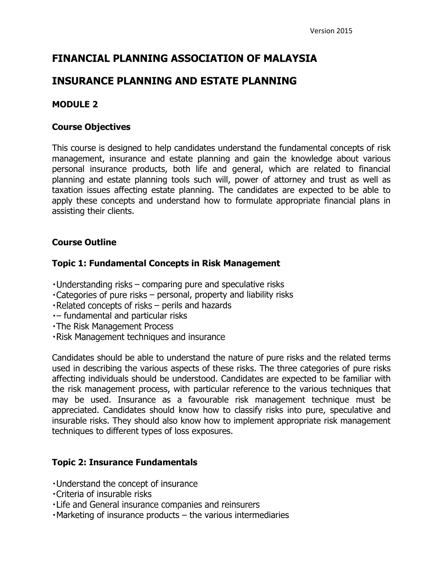# **FINANCIAL PLANNING ASSOCIATION OF MALAYSIA**

## **INSURANCE PLANNING AND ESTATE PLANNING**

## **MODULE 2**

#### **Course Objectives**

This course is designed to help candidates understand the fundamental concepts of risk management, insurance and estate planning and gain the knowledge about various personal insurance products, both life and general, which are related to financial planning and estate planning tools such will, power of attorney and trust as well as taxation issues affecting estate planning. The candidates are expected to be able to apply these concepts and understand how to formulate appropriate financial plans in assisting their clients.

## **Course Outline**

## **Topic 1: Fundamental Concepts in Risk Management**

- Understanding risks comparing pure and speculative risks
- $\cdot$  Categories of pure risks personal, property and liability risks
- Related concepts of risks perils and hazards
- fundamental and particular risks
- . The Risk Management Process
- . Risk Management techniques and insurance

Candidates should be able to understand the nature of pure risks and the related terms used in describing the various aspects of these risks. The three categories of pure risks affecting individuals should be understood. Candidates are expected to be familiar with the risk management process, with particular reference to the various techniques that may be used. Insurance as a favourable risk management technique must be appreciated. Candidates should know how to classify risks into pure, speculative and insurable risks. They should also know how to implement appropriate risk management techniques to different types of loss exposures.

## **Topic 2: Insurance Fundamentals**

- . Understand the concept of insurance
- Criteria of insurable risks
- . Life and General insurance companies and reinsurers
- Marketing of insurance products the various intermediaries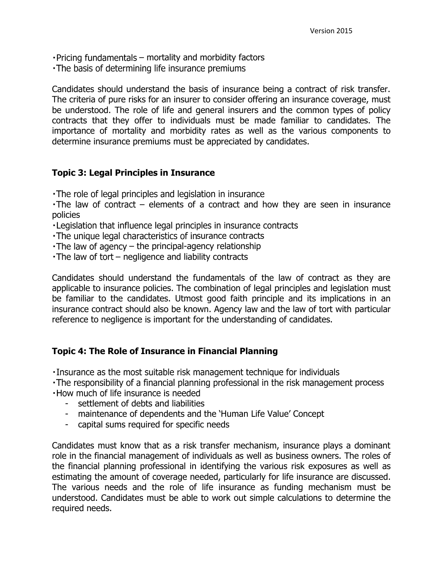- $\cdot$  Pricing fundamentals  $-$  mortality and morbidity factors
- The basis of determining life insurance premiums

Candidates should understand the basis of insurance being a contract of risk transfer. The criteria of pure risks for an insurer to consider offering an insurance coverage, must be understood. The role of life and general insurers and the common types of policy contracts that they offer to individuals must be made familiar to candidates. The importance of mortality and morbidity rates as well as the various components to determine insurance premiums must be appreciated by candidates.

#### **Topic 3: Legal Principles in Insurance**

The role of legal principles and legislation in insurance

 $\cdot$ The law of contract – elements of a contract and how they are seen in insurance policies

- . Legislation that influence legal principles in insurance contracts
- The unique legal characteristics of insurance contracts
- $\cdot$  The law of agency the principal-agency relationship
- $\cdot$  The law of tort negligence and liability contracts

Candidates should understand the fundamentals of the law of contract as they are applicable to insurance policies. The combination of legal principles and legislation must be familiar to the candidates. Utmost good faith principle and its implications in an insurance contract should also be known. Agency law and the law of tort with particular reference to negligence is important for the understanding of candidates.

#### **Topic 4: The Role of Insurance in Financial Planning**

- Insurance as the most suitable risk management technique for individuals
- The responsibility of a financial planning professional in the risk management process
- . How much of life insurance is needed
	- settlement of debts and liabilities
	- maintenance of dependents and the 'Human Life Value' Concept
	- capital sums required for specific needs

Candidates must know that as a risk transfer mechanism, insurance plays a dominant role in the financial management of individuals as well as business owners. The roles of the financial planning professional in identifying the various risk exposures as well as estimating the amount of coverage needed, particularly for life insurance are discussed. The various needs and the role of life insurance as funding mechanism must be understood. Candidates must be able to work out simple calculations to determine the required needs.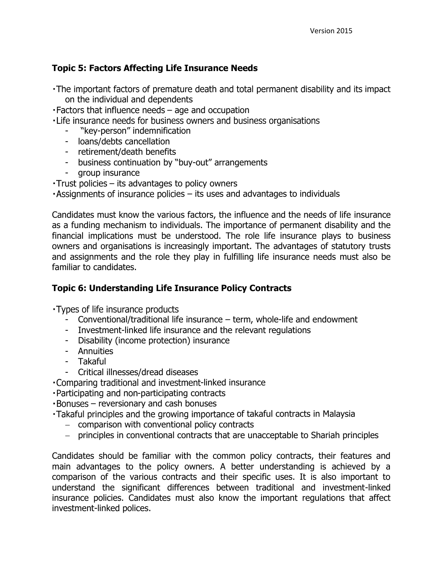## **Topic 5: Factors Affecting Life Insurance Needs**

- The important factors of premature death and total permanent disability and its impact on the individual and dependents
- Factors that influence needs age and occupation
- . Life insurance needs for business owners and business organisations
	- "key-person" indemnification
	- loans/debts cancellation
	- retirement/death benefits
	- business continuation by "buy-out" arrangements
	- group insurance
- $-Trust$  policies  $-$  its advantages to policy owners
- $\cdot$  Assignments of insurance policies its uses and advantages to individuals

Candidates must know the various factors, the influence and the needs of life insurance as a funding mechanism to individuals. The importance of permanent disability and the financial implications must be understood. The role life insurance plays to business owners and organisations is increasingly important. The advantages of statutory trusts and assignments and the role they play in fulfilling life insurance needs must also be familiar to candidates.

#### **Topic 6: Understanding Life Insurance Policy Contracts**

Types of life insurance products

- Conventional/traditional life insurance term, whole-life and endowment
- Investment-linked life insurance and the relevant regulations
- Disability (income protection) insurance
- Annuities
- Takaful
- Critical illnesses/dread diseases
- . Comparing traditional and investment-linked insurance
- · Participating and non-participating contracts
- reversionary and cash bonuses
- · Takaful principles and the growing importance of takaful contracts in Malaysia
	- comparison with conventional policy contracts
	- principles in conventional contracts that are unacceptable to Shariah principles

Candidates should be familiar with the common policy contracts, their features and main advantages to the policy owners. A better understanding is achieved by a comparison of the various contracts and their specific uses. It is also important to understand the significant differences between traditional and investment-linked insurance policies. Candidates must also know the important regulations that affect investment-linked polices.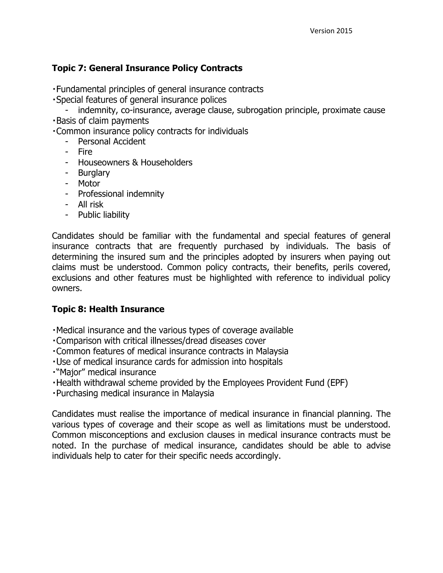## **Topic 7: General Insurance Policy Contracts**

. Fundamental principles of general insurance contracts

- Special features of general insurance polices
	- indemnity, co-insurance, average clause, subrogation principle, proximate cause
- **Basis of claim payments**

. Common insurance policy contracts for individuals

- Personal Accident
- Fire
- Houseowners & Householders
- Burglary
- Motor
- Professional indemnity
- All risk
- Public liability

Candidates should be familiar with the fundamental and special features of general insurance contracts that are frequently purchased by individuals. The basis of determining the insured sum and the principles adopted by insurers when paying out claims must be understood. Common policy contracts, their benefits, perils covered, exclusions and other features must be highlighted with reference to individual policy owners.

#### **Topic 8: Health Insurance**

- Medical insurance and the various types of coverage available
- . Comparison with critical illnesses/dread diseases cover
- Common features of medical insurance contracts in Malaysia
- · Use of medical insurance cards for admission into hospitals
- . "Major" medical insurance
- . Health withdrawal scheme provided by the Employees Provident Fund (EPF)
- . Purchasing medical insurance in Malaysia

Candidates must realise the importance of medical insurance in financial planning. The various types of coverage and their scope as well as limitations must be understood. Common misconceptions and exclusion clauses in medical insurance contracts must be noted. In the purchase of medical insurance, candidates should be able to advise individuals help to cater for their specific needs accordingly.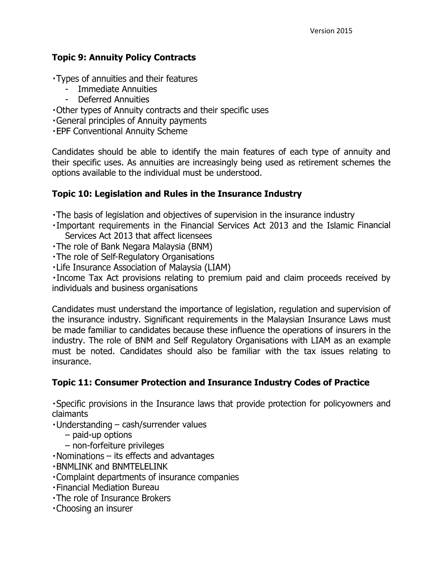## **Topic 9: Annuity Policy Contracts**

- Types of annuities and their features
	- Immediate Annuities
	- Deferred Annuities
- Other types of Annuity contracts and their specific uses
- General principles of Annuity payments
- **-EPF Conventional Annuity Scheme**

Candidates should be able to identify the main features of each type of annuity and their specific uses. As annuities are increasingly being used as retirement schemes the options available to the individual must be understood.

## **Topic 10: Legislation and Rules in the Insurance Industry**

- The basis of legislation and objectives of supervision in the insurance industry
- . Important requirements in the Financial Services Act 2013 and the Islamic Financial Services Act 2013 that affect licensees
- The role of Bank Negara Malaysia (BNM)
- . The role of Self-Regulatory Organisations
- . Life Insurance Association of Malaysia (LIAM)

Income Tax Act provisions relating to premium paid and claim proceeds received by individuals and business organisations

Candidates must understand the importance of legislation, regulation and supervision of the insurance industry. Significant requirements in the Malaysian Insurance Laws must be made familiar to candidates because these influence the operations of insurers in the industry. The role of BNM and Self Regulatory Organisations with LIAM as an example must be noted. Candidates should also be familiar with the tax issues relating to insurance.

## **Topic 11: Consumer Protection and Insurance Industry Codes of Practice**

Specific provisions in the Insurance laws that provide protection for policyowners and claimants

- Understanding cash/surrender values
	- paid-up options
	- non-forfeiture privileges
- $\cdot$  Nominations  $-$  its effects and advantages
- **. BNMLINK and BNMTELELINK**
- . Complaint departments of insurance companies
- **· Financial Mediation Bureau**
- . The role of Insurance Brokers
- . Choosing an insurer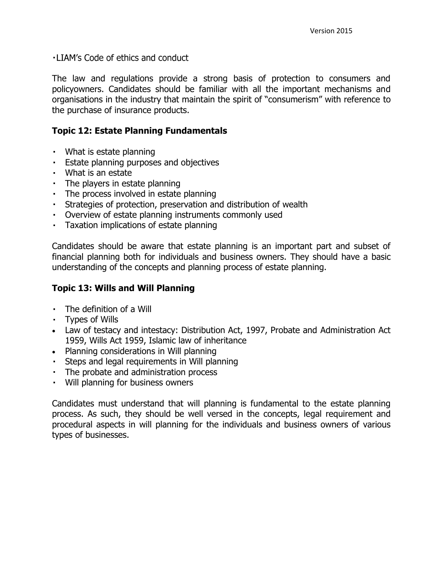. LIAM's Code of ethics and conduct

The law and regulations provide a strong basis of protection to consumers and policyowners. Candidates should be familiar with all the important mechanisms and organisations in the industry that maintain the spirit of "consumerism" with reference to the purchase of insurance products.

#### **Topic 12: Estate Planning Fundamentals**

- What is estate planning
- **Estate planning purposes and objectives**
- What is an estate
- The players in estate planning
- The process involved in estate planning
- Strategies of protection, preservation and distribution of wealth
- Overview of estate planning instruments commonly used
- Taxation implications of estate planning  $\mathbf{r} \in \mathbb{R}^n$

Candidates should be aware that estate planning is an important part and subset of financial planning both for individuals and business owners. They should have a basic understanding of the concepts and planning process of estate planning.

#### **Topic 13: Wills and Will Planning**

- The definition of a Will
- Types of Wills
- Law of testacy and intestacy: Distribution Act, 1997, Probate and Administration Act 1959, Wills Act 1959, Islamic law of inheritance
- Planning considerations in Will planning
- Steps and legal requirements in Will planning
- The probate and administration process
- Will planning for business owners

Candidates must understand that will planning is fundamental to the estate planning process. As such, they should be well versed in the concepts, legal requirement and procedural aspects in will planning for the individuals and business owners of various types of businesses.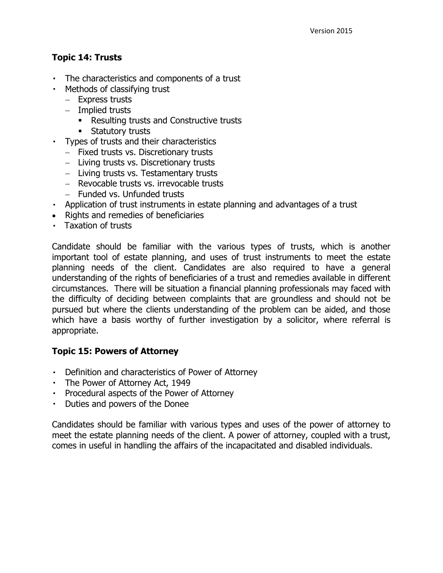## **Topic 14: Trusts**

- The characteristics and components of a trust
- Methods of classifying trust
	- Express trusts
	- $-$  Implied trusts
		- Resulting trusts and Constructive trusts
		- **Statutory trusts**
- Types of trusts and their characteristics
	- Fixed trusts vs. Discretionary trusts
	- Living trusts vs. Discretionary trusts
	- Living trusts vs. Testamentary trusts
	- Revocable trusts vs. irrevocable trusts
	- $-$  Funded vs. Unfunded trusts
- Application of trust instruments in estate planning and advantages of a trust
- Rights and remedies of beneficiaries
- Taxation of trusts

Candidate should be familiar with the various types of trusts, which is another important tool of estate planning, and uses of trust instruments to meet the estate planning needs of the client. Candidates are also required to have a general understanding of the rights of beneficiaries of a trust and remedies available in different circumstances. There will be situation a financial planning professionals may faced with the difficulty of deciding between complaints that are groundless and should not be pursued but where the clients understanding of the problem can be aided, and those which have a basis worthy of further investigation by a solicitor, where referral is appropriate.

#### **Topic 15: Powers of Attorney**

- Definition and characteristics of Power of Attorney
- The Power of Attorney Act, 1949
- Procedural aspects of the Power of Attorney
- Duties and powers of the Donee

Candidates should be familiar with various types and uses of the power of attorney to meet the estate planning needs of the client. A power of attorney, coupled with a trust, comes in useful in handling the affairs of the incapacitated and disabled individuals.